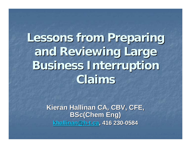**Lessons from Preparing Lessons from Preparing and Reviewing Large and Reviewing Large Business Interruption Business Interruption Claims**

> Kieran Hallinan CA, CBV, CFE, **BSc(Chem Eng) [khallinan@h](mailto:khallinan@h-t.ca) khallinan@h [-t.ca](mailto:khallinan@h-t.ca), 416 230 , 416 230 -0584**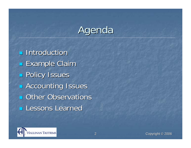# Agenda

**<u>n</u>** Introduction **Example Claim Rolicy Issues RACCOUnting Issues D** Other Observations **Lessons Learned** 

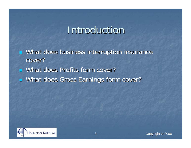### **Introduction**

 $\mathbb{R}^2$ What does business interruption insurance cover?

- What does Profits form cover?
- $\mathbb{R}^2$ ■ What does Gross Earnings form cover?

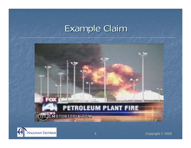### Example Claim



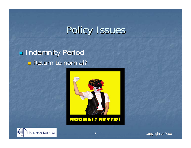**REDINAL Indemnity Period Return to normal?** 



### **NORMAL? NEVER!**



Copyright © 2006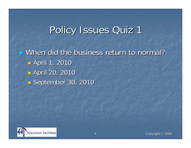## Policy Issues Quiz 1

■ When did the business return to normal?  $\mathbb{R}^2$ **B** April 1, 2010  $\mathbb{R}^2$ **B** April 20, 2010  $\mathbb{R}^2$ **September 30, 2010** September 30, 2010

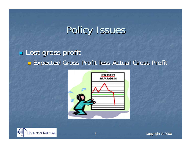### **Lost gross profit**  $\mathbb{R}^2$ **Expected Gross Profit less Actual Gross Profit**



7



Copyright © 2006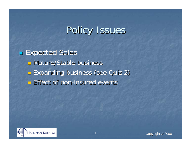**Expected Sales <u>n</u>** Mature/Stable business  $\mathbb{R}^2$ **Expanding business (see Quiz 2) Effect of non-insured events**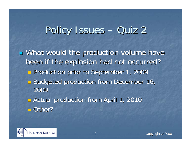#### Policy Issues – –– Quiz 2

**E** What would the production volume have been if the explosion had not occurred? been if the explosion had not occurred?  $\mathbb{R}^2$ **Production prior to September 1, 2009**  $\mathbb{R}^3$ Budgeted production from December 16, 2009 $\mathbb{R}^2$ **Randon From April 1, 2010** Actual production from April 1, 2010 ■ Other?

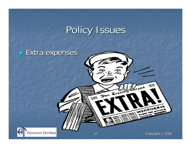

Copyright © 2006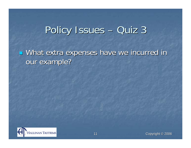#### Policy Issues – –Quiz 3

**u** What extra expenses have we incurred in our example?

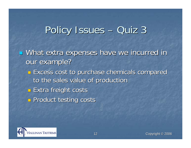#### Policy Issues – –Quiz 3

**u** What extra expenses have we incurred in our example?  $\mathbb{R}^2$ **Excess cost to purchase chemicals compared** to the sales value of production  $\mathbb{R}^2$ **Extra freight costs**  $\mathbb{R}^2$ **Product testing costs** 

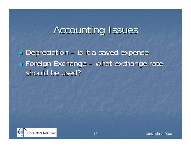### **Accounting Issues**

**Depreciation – is it a saved expense Exchange – what exchange rate Exchange rate** should be used?

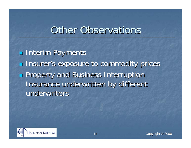### **Other Observations**

**Interim Payments Insurer's exposure to commodity prices Property and Business Interruption** Insurance underwritten by different underwriters

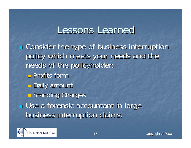### Lessons Learned

**E** Consider the type of business interruption policy which meets your needs and the needs of the policyholder:  $\blacksquare$  Profits form T.  $\blacksquare$  **Daily amount**  $\mathbb{R}^2$ **<u>n</u>** Standing Charges **u** Use a forensic accountant in large business interruption claims.

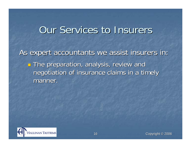### Our Services to Insurers

As expert accountants we assist insurers in:  $\mathbb{R}^2$ **The preparation, analysis, review and** negotiation of insurance claims in a timely manner.